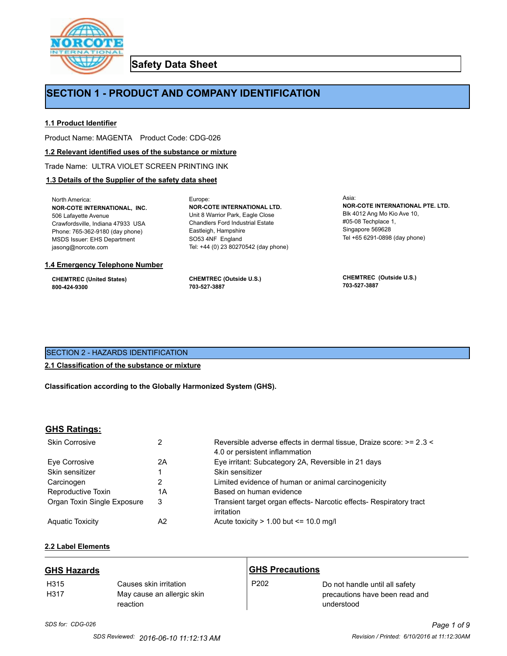

**Safety Data Sheet**

## **SECTION 1 - PRODUCT AND COMPANY IDENTIFICATION**

Europe:

### **1.1 Product Identifier**

Product Name: MAGENTA Product Code: CDG-026

#### **1.2 Relevant identified uses of the substance or mixture**

Trade Name: ULTRA VIOLET SCREEN PRINTING INK

#### **1.3 Details of the Supplier of the safety data sheet**

North America: **NOR-COTE INTERNATIONAL, INC.** 506 Lafayette Avenue Crawfordsville, Indiana 47933 USA Phone: 765-362-9180 (day phone) MSDS Issuer: EHS Department jasong@norcote.com

#### **1.4 Emergency Telephone Number**

**CHEMTREC (United States) 800-424-9300**

**CHEMTREC (Outside U.S.) 703-527-3887**

Eastleigh, Hampshire SO53 4NF England

**NOR-COTE INTERNATIONAL LTD.** Unit 8 Warrior Park, Eagle Close Chandlers Ford Industrial Estate

Tel: +44 (0) 23 80270542 (day phone)

Asia: **NOR-COTE INTERNATIONAL PTE. LTD.** Blk 4012 Ang Mo Kio Ave 10, #05-08 Techplace 1, Singapore 569628 Tel +65 6291-0898 (day phone)

**CHEMTREC (Outside U.S.) 703-527-3887**

## SECTION 2 - HAZARDS IDENTIFICATION

## **2.1 Classification of the substance or mixture**

**Classification according to the Globally Harmonized System (GHS).**

## **GHS Ratings:**

| <b>Skin Corrosive</b>       | 2  | Reversible adverse effects in dermal tissue, Draize score: >= 2.3 <<br>4.0 or persistent inflammation |
|-----------------------------|----|-------------------------------------------------------------------------------------------------------|
| Eve Corrosive               | 2A | Eye irritant: Subcategory 2A, Reversible in 21 days                                                   |
| Skin sensitizer             |    | Skin sensitizer                                                                                       |
| Carcinogen                  |    | Limited evidence of human or animal carcinogenicity                                                   |
| Reproductive Toxin          | 1A | Based on human evidence                                                                               |
| Organ Toxin Single Exposure | 3  | Transient target organ effects- Narcotic effects- Respiratory tract<br>irritation                     |
| <b>Aguatic Toxicity</b>     | A2 | Acute toxicity $> 1.00$ but $\leq 10.0$ mg/l                                                          |

## **2.2 Label Elements**

| <b>GHS Hazards</b>       |                                                                  | <b>GHS Precautions</b> |                                                                                |
|--------------------------|------------------------------------------------------------------|------------------------|--------------------------------------------------------------------------------|
| H <sub>315</sub><br>H317 | Causes skin irritation<br>May cause an allergic skin<br>reaction | P <sub>202</sub>       | Do not handle until all safety<br>precautions have been read and<br>understood |

# *SDS for: CDG-026 Page 1 of 9*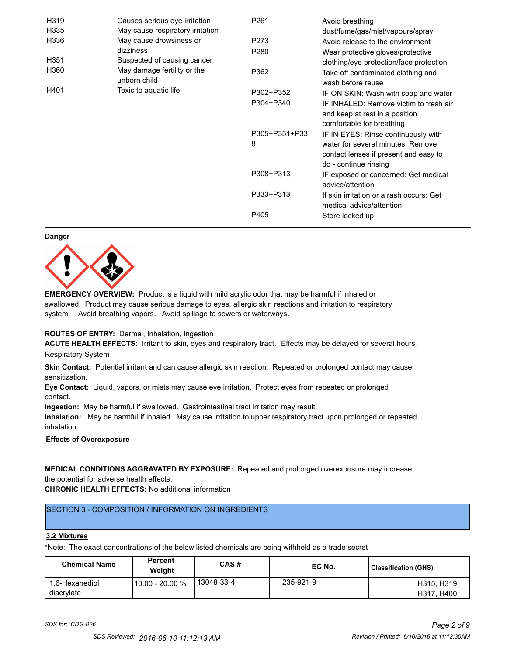| H319 | Causes serious eye irritation               | P261             | Avoid breathing                                                      |
|------|---------------------------------------------|------------------|----------------------------------------------------------------------|
| H335 | May cause respiratory irritation            |                  | dust/fume/gas/mist/vapours/spray                                     |
| H336 | May cause drowsiness or                     | P273             | Avoid release to the environment                                     |
|      | dizziness                                   | P <sub>280</sub> | Wear protective gloves/protective                                    |
| H351 | Suspected of causing cancer                 |                  | clothing/eye protection/face protection                              |
| H360 | May damage fertility or the<br>unborn child | P362             | Take off contaminated clothing and<br>wash before reuse              |
| H401 | Toxic to aquatic life                       | P302+P352        | IF ON SKIN: Wash with soap and water                                 |
|      |                                             | P304+P340        | IF INHALED: Remove victim to fresh air                               |
|      |                                             |                  | and keep at rest in a position<br>comfortable for breathing          |
|      |                                             | P305+P351+P33    | IF IN EYES: Rinse continuously with                                  |
|      |                                             | 8                | water for several minutes. Remove                                    |
|      |                                             |                  | contact lenses if present and easy to                                |
|      |                                             |                  | do - continue rinsing                                                |
|      |                                             | P308+P313        | IF exposed or concerned: Get medical                                 |
|      |                                             |                  | advice/attention                                                     |
|      |                                             | P333+P313        | If skin irritation or a rash occurs: Get<br>medical advice/attention |
|      |                                             | P405             | Store locked up                                                      |

#### **Danger**



**EMERGENCY OVERVIEW:** Product is a liquid with mild acrylic odor that may be harmful if inhaled or swallowed. Product may cause serious damage to eyes, allergic skin reactions and irritation to respiratory system. Avoid breathing vapors. Avoid spillage to sewers or waterways.

#### **ROUTES OF ENTRY:** Dermal, Inhalation, Ingestion

**ACUTE HEALTH EFFECTS:** Irritant to skin, eyes and respiratory tract. Effects may be delayed for several hours. Respiratory System

**Skin Contact:** Potential irritant and can cause allergic skin reaction. Repeated or prolonged contact may cause sensitization.

**Eye Contact:** Liquid, vapors, or mists may cause eye irritation. Protect eyes from repeated or prolonged contact.

**Ingestion:** May be harmful if swallowed. Gastrointestinal tract irritation may result.

**Inhalation:** May be harmful if inhaled. May cause irritation to upper respiratory tract upon prolonged or repeated inhalation.

#### **Effects of Overexposure**

**MEDICAL CONDITIONS AGGRAVATED BY EXPOSURE:** Repeated and prolonged overexposure may increase the potential for adverse health effects.

**CHRONIC HEALTH EFFECTS:** No additional information

## SECTION 3 - COMPOSITION / INFORMATION ON INGREDIENTS

#### **3.2 Mixtures**

\*Note: The exact concentrations of the below listed chemicals are being withheld as a trade secret

| <b>Chemical Name</b>         | Percent<br>Weight | CAS#       | EC No.    | <b>Classification (GHS)</b> |
|------------------------------|-------------------|------------|-----------|-----------------------------|
| 1.6-Hexanediol<br>diacrylate | 10.00 - 20.00 %   | 13048-33-4 | 235-921-9 | H315, H319,<br>H317, H400   |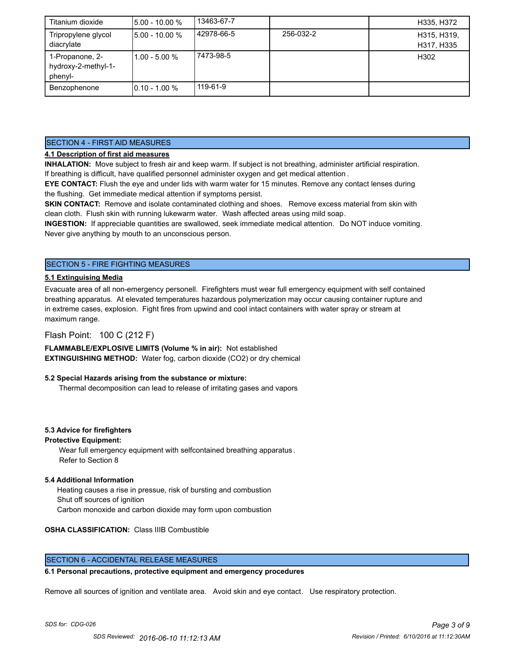| Titanium dioxide                                  | 15.00 - 10.00 %   | 13463-67-7 |           | H335, H372                |
|---------------------------------------------------|-------------------|------------|-----------|---------------------------|
| Tripropylene glycol<br>diacrylate                 | $15.00 - 10.00 %$ | 42978-66-5 | 256-032-2 | H315, H319,<br>H317, H335 |
| 1-Propanone, 2-<br>hydroxy-2-methyl-1-<br>phenyl- | $11.00 - 5.00 %$  | 7473-98-5  |           | H302                      |
| Benzophenone                                      | $10.10 - 1.00 %$  | 119-61-9   |           |                           |

## SECTION 4 - FIRST AID MEASURES

## **4.1 Description of first aid measures**

**INHALATION:** Move subject to fresh air and keep warm. If subject is not breathing, administer artificial respiration. If breathing is difficult, have qualified personnel administer oxygen and get medical attention .

**EYE CONTACT:** Flush the eye and under lids with warm water for 15 minutes. Remove any contact lenses during the flushing. Get immediate medical attention if symptoms persist.

**SKIN CONTACT:** Remove and isolate contaminated clothing and shoes. Remove excess material from skin with clean cloth. Flush skin with running lukewarm water. Wash affected areas using mild soap.

**INGESTION:** If appreciable quantities are swallowed, seek immediate medical attention. Do NOT induce vomiting. Never give anything by mouth to an unconscious person.

## SECTION 5 - FIRE FIGHTING MEASURES

#### **5.1 Extinguising Media**

Evacuate area of all non-emergency personell. Firefighters must wear full emergency equipment with self contained breathing apparatus. At elevated temperatures hazardous polymerization may occur causing container rupture and in extreme cases, explosion. Fight fires from upwind and cool intact containers with water spray or stream at maximum range.

## Flash Point: 100 C (212 F)

**FLAMMABLE/EXPLOSIVE LIMITS (Volume % in air):** Not established **EXTINGUISHING METHOD:** Water fog, carbon dioxide (CO2) or dry chemical

#### **5.2 Special Hazards arising from the substance or mixture:**

Thermal decomposition can lead to release of irritating gases and vapors

#### **5.3 Advice for firefighters**

#### **Protective Equipment:**

Wear full emergency equipment with selfcontained breathing apparatus . Refer to Section 8

#### **5.4 Additional Information**

 Heating causes a rise in pressue, risk of bursting and combustion Shut off sources of ignition Carbon monoxide and carbon dioxide may form upon combustion

#### **OSHA CLASSIFICATION:** Class IIIB Combustible

## SECTION 6 - ACCIDENTAL RELEASE MEASURES

#### **6.1 Personal precautions, protective equipment and emergency procedures**

Remove all sources of ignition and ventilate area. Avoid skin and eye contact. Use respiratory protection.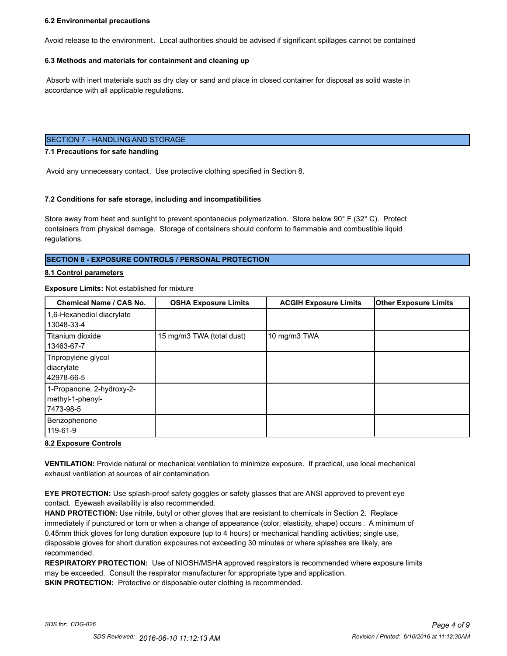#### **6.2 Environmental precautions**

Avoid release to the environment. Local authorities should be advised if significant spillages cannot be contained

#### **6.3 Methods and materials for containment and cleaning up**

 Absorb with inert materials such as dry clay or sand and place in closed container for disposal as solid waste in accordance with all applicable regulations.

#### SECTION 7 - HANDLING AND STORAGE

#### **7.1 Precautions for safe handling**

Avoid any unnecessary contact. Use protective clothing specified in Section 8.

#### **7.2 Conditions for safe storage, including and incompatibilities**

Store away from heat and sunlight to prevent spontaneous polymerization. Store below 90° F (32° C). Protect containers from physical damage. Storage of containers should conform to flammable and combustible liquid regulations.

#### **SECTION 8 - EXPOSURE CONTROLS / PERSONAL PROTECTION**

#### **8.1 Control parameters**

#### **Exposure Limits:** Not established for mixture

| Chemical Name / CAS No.                                     | <b>OSHA Exposure Limits</b> | <b>ACGIH Exposure Limits</b> | <b>Other Exposure Limits</b> |
|-------------------------------------------------------------|-----------------------------|------------------------------|------------------------------|
| 1,6-Hexanediol diacrylate<br>13048-33-4                     |                             |                              |                              |
| Titanium dioxide<br>13463-67-7                              | 15 mg/m3 TWA (total dust)   | 10 mg/m3 TWA                 |                              |
| Tripropylene glycol<br>diacrylate<br>42978-66-5             |                             |                              |                              |
| 1-Propanone, 2-hydroxy-2-<br>methyl-1-phenyl-<br>17473-98-5 |                             |                              |                              |
| Benzophenone<br>119-61-9                                    |                             |                              |                              |

#### **8.2 Exposure Controls**

**VENTILATION:** Provide natural or mechanical ventilation to minimize exposure. If practical, use local mechanical exhaust ventilation at sources of air contamination.

**EYE PROTECTION:** Use splash-proof safety goggles or safety glasses that are ANSI approved to prevent eye contact. Eyewash availability is also recommended.

**HAND PROTECTION:** Use nitrile, butyl or other gloves that are resistant to chemicals in Section 2. Replace immediately if punctured or torn or when a change of appearance (color, elasticity, shape) occurs . A minimum of 0.45mm thick gloves for long duration exposure (up to 4 hours) or mechanical handling activities; single use, disposable gloves for short duration exposures not exceeding 30 minutes or where splashes are likely, are recommended.

**RESPIRATORY PROTECTION:** Use of NIOSH/MSHA approved respirators is recommended where exposure limits may be exceeded. Consult the respirator manufacturer for appropriate type and application. **SKIN PROTECTION:** Protective or disposable outer clothing is recommended.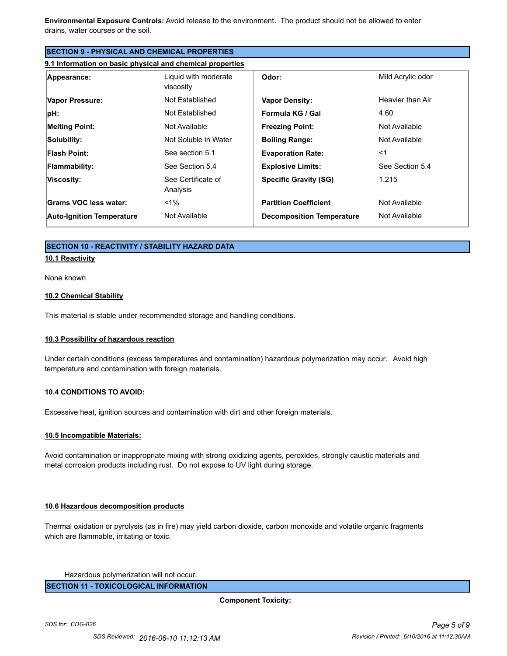**Environmental Exposure Controls:** Avoid release to the environment. The product should not be allowed to enter drains, water courses or the soil.

| <b>SECTION 9 - PHYSICAL AND CHEMICAL PROPERTIES</b>       |                                   |                                  |                   |
|-----------------------------------------------------------|-----------------------------------|----------------------------------|-------------------|
| 9.1 Information on basic physical and chemical properties |                                   |                                  |                   |
| Appearance:                                               | Liquid with moderate<br>viscosity | Odor:                            | Mild Acrylic odor |
| <b>Vapor Pressure:</b>                                    | Not Established                   | <b>Vapor Density:</b>            | Heavier than Air  |
| pH:                                                       | Not Established                   | Formula KG / Gal                 | 4.60              |
| <b>Melting Point:</b>                                     | Not Available                     | <b>Freezing Point:</b>           | Not Available     |
| Solubility:                                               | Not Soluble in Water              | <b>Boiling Range:</b>            | Not Available     |
| <b>Flash Point:</b>                                       | See section 5.1                   | <b>Evaporation Rate:</b>         | $<$ 1             |
| <b>Flammability:</b>                                      | See Section 5.4                   | <b>Explosive Limits:</b>         | See Section 5.4   |
| Viscosity:                                                | See Certificate of<br>Analysis    | <b>Specific Gravity (SG)</b>     | 1.215             |
| Grams VOC less water:                                     | $< 1\%$                           | <b>Partition Coefficient</b>     | Not Available     |
| <b>Auto-Ignition Temperature</b>                          | Not Available                     | <b>Decomposition Temperature</b> | Not Available     |

## **SECTION 10 - REACTIVITY / STABILITY HAZARD DATA**

#### **10.1 Reactivity**

None known

#### **10.2 Chemical Stability**

This material is stable under recommended storage and handling conditions.

#### **10.3 Possibility of hazardous reaction**

Under certain conditions (excess temperatures and contamination) hazardous polymerization may occur. Avoid high temperature and contamination with foreign materials.

#### **10.4 CONDITIONS TO AVOID:**

Excessive heat, ignition sources and contamination with dirt and other foreign materials.

#### **10.5 Incompatible Materials:**

Avoid contamination or inappropriate mixing with strong oxidizing agents, peroxides, strongly caustic materials and metal corrosion products including rust. Do not expose to UV light during storage.

#### **10.6 Hazardous decomposition products**

Thermal oxidation or pyrolysis (as in fire) may yield carbon dioxide, carbon monoxide and volatile organic fragments which are flammable, irritating or toxic.

Hazardous polymerization will not occur.

**SECTION 11 - TOXICOLOGICAL INFORMATION**

**Component Toxicity:**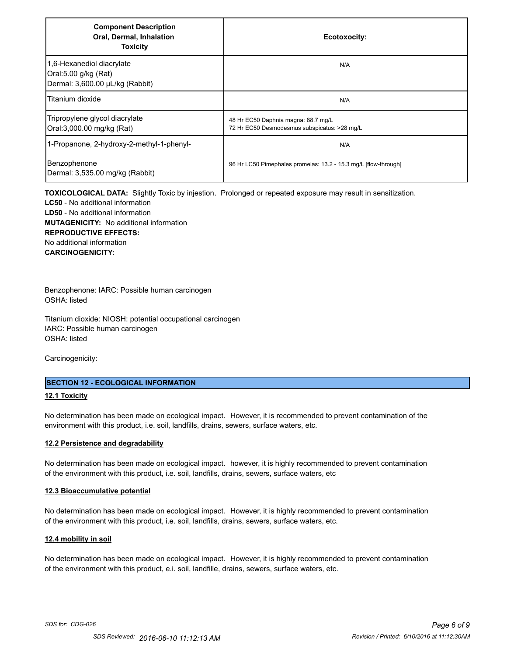| <b>Component Description</b><br>Oral, Dermal, Inhalation<br><b>Toxicity</b>          | Ecotoxocity:                                                                        |
|--------------------------------------------------------------------------------------|-------------------------------------------------------------------------------------|
| 1,6-Hexanediol diacrylate<br>Oral:5.00 g/kg (Rat)<br>Dermal: 3,600.00 µL/kg (Rabbit) | N/A                                                                                 |
| Titanium dioxide                                                                     | N/A                                                                                 |
| Tripropylene glycol diacrylate<br>Oral:3,000.00 mg/kg (Rat)                          | 48 Hr EC50 Daphnia magna: 88.7 mg/L<br>72 Hr EC50 Desmodesmus subspicatus: >28 mg/L |
| 1-Propanone, 2-hydroxy-2-methyl-1-phenyl-                                            | N/A                                                                                 |
| Benzophenone<br>Dermal: 3,535.00 mg/kg (Rabbit)                                      | 96 Hr LC50 Pimephales promelas: 13.2 - 15.3 mg/L [flow-through]                     |

**TOXICOLOGICAL DATA:** Slightly Toxic by injestion. Prolonged or repeated exposure may result in sensitization. **LC50** - No additional information **LD50** - No additional information **MUTAGENICITY:** No additional information **REPRODUCTIVE EFFECTS:** No additional information **CARCINOGENICITY:**

Benzophenone: IARC: Possible human carcinogen OSHA: listed

Titanium dioxide: NIOSH: potential occupational carcinogen IARC: Possible human carcinogen OSHA: listed

Carcinogenicity:

#### **SECTION 12 - ECOLOGICAL INFORMATION**

#### **12.1 Toxicity**

No determination has been made on ecological impact. However, it is recommended to prevent contamination of the environment with this product, i.e. soil, landfills, drains, sewers, surface waters, etc.

#### **12.2 Persistence and degradability**

No determination has been made on ecological impact. however, it is highly recommended to prevent contamination of the environment with this product, i.e. soil, landfills, drains, sewers, surface waters, etc

#### **12.3 Bioaccumulative potential**

No determination has been made on ecological impact. However, it is highly recommended to prevent contamination of the environment with this product, i.e. soil, landfills, drains, sewers, surface waters, etc.

#### **12.4 mobility in soil**

No determination has been made on ecological impact. However, it is highly recommended to prevent contamination of the environment with this product, e.i. soil, landfille, drains, sewers, surface waters, etc.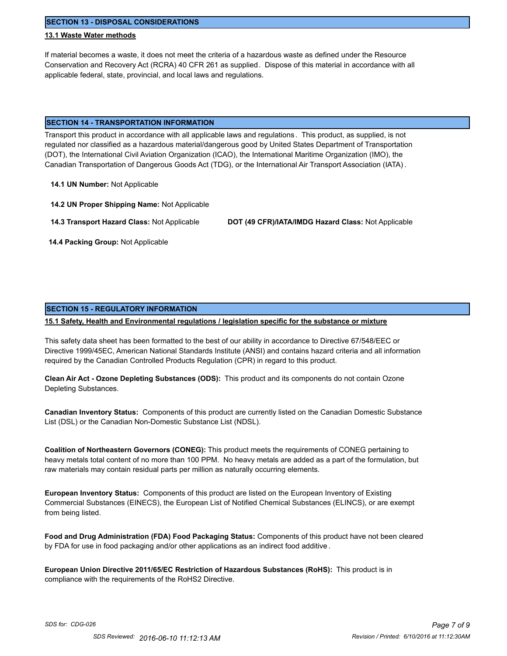**SECTION 13 - DISPOSAL CONSIDERATIONS**

#### **13.1 Waste Water methods**

If material becomes a waste, it does not meet the criteria of a hazardous waste as defined under the Resource Conservation and Recovery Act (RCRA) 40 CFR 261 as supplied. Dispose of this material in accordance with all applicable federal, state, provincial, and local laws and regulations.

#### **SECTION 14 - TRANSPORTATION INFORMATION**

Transport this product in accordance with all applicable laws and regulations . This product, as supplied, is not regulated nor classified as a hazardous material/dangerous good by United States Department of Transportation (DOT), the International Civil Aviation Organization (ICAO), the International Maritime Organization (IMO), the Canadian Transportation of Dangerous Goods Act (TDG), or the International Air Transport Association (IATA) .

**14.1 UN Number:** Not Applicable

**14.2 UN Proper Shipping Name:** Not Applicable

**14.3 Transport Hazard Class:** Not Applicable **DOT (49 CFR)/IATA/IMDG Hazard Class:** Not Applicable

 **14.4 Packing Group:** Not Applicable

#### **SECTION 15 - REGULATORY INFORMATION**

#### **15.1 Safety, Health and Environmental regulations / legislation specific for the substance or mixture**

This safety data sheet has been formatted to the best of our ability in accordance to Directive 67/548/EEC or Directive 1999/45EC, American National Standards Institute (ANSI) and contains hazard criteria and all information required by the Canadian Controlled Products Regulation (CPR) in regard to this product.

**Clean Air Act - Ozone Depleting Substances (ODS):** This product and its components do not contain Ozone Depleting Substances.

**Canadian Inventory Status:** Components of this product are currently listed on the Canadian Domestic Substance List (DSL) or the Canadian Non-Domestic Substance List (NDSL).

**Coalition of Northeastern Governors (CONEG):** This product meets the requirements of CONEG pertaining to heavy metals total content of no more than 100 PPM. No heavy metals are added as a part of the formulation, but raw materials may contain residual parts per million as naturally occurring elements.

**European Inventory Status:** Components of this product are listed on the European Inventory of Existing Commercial Substances (EINECS), the European List of Notified Chemical Substances (ELINCS), or are exempt from being listed.

**Food and Drug Administration (FDA) Food Packaging Status:** Components of this product have not been cleared by FDA for use in food packaging and/or other applications as an indirect food additive .

**European Union Directive 2011/65/EC Restriction of Hazardous Substances (RoHS):** This product is in compliance with the requirements of the RoHS2 Directive.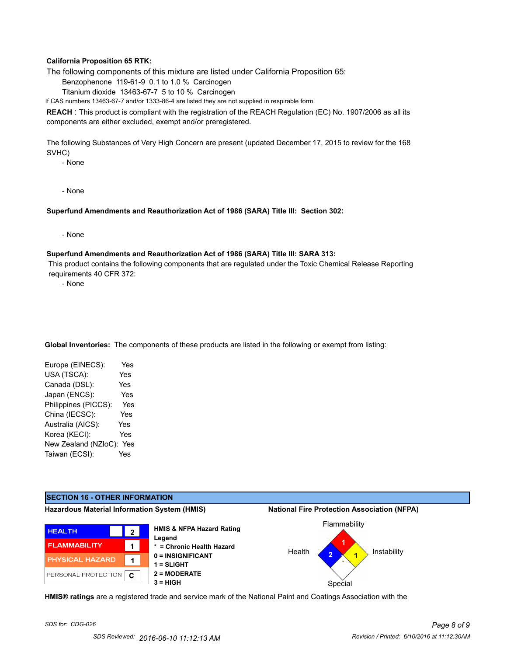#### **California Proposition 65 RTK:**

The following components of this mixture are listed under California Proposition 65:

Benzophenone 119-61-9 0.1 to 1.0 % Carcinogen

Titanium dioxide 13463-67-7 5 to 10 % Carcinogen

If CAS numbers 13463-67-7 and/or 1333-86-4 are listed they are not supplied in respirable form.

**REACH** : This product is compliant with the registration of the REACH Regulation (EC) No. 1907/2006 as all its components are either excluded, exempt and/or preregistered.

The following Substances of Very High Concern are present (updated December 17, 2015 to review for the 168 SVHC)

- None

- None

#### **Superfund Amendments and Reauthorization Act of 1986 (SARA) Title III: Section 302:**

- None

#### **Superfund Amendments and Reauthorization Act of 1986 (SARA) Title III: SARA 313:**

 This product contains the following components that are regulated under the Toxic Chemical Release Reporting requirements 40 CFR 372:

- None

**Global Inventories:** The components of these products are listed in the following or exempt from listing:

| Europe (EINECS):     | Yes |
|----------------------|-----|
| USA (TSCA):          | Yes |
| Canada (DSL):        | Yes |
| Japan (ENCS):        | Yes |
| Philippines (PICCS): | Yes |
| China (IECSC):       | Yes |
| Australia (AICS):    | Yes |
| Korea (KECI):        | Yes |
| New Zealand (NZloC): | Yes |
| Taiwan (ECSI):       | Yes |
|                      |     |



**HMIS® ratings** are a registered trade and service mark of the National Paint and Coatings Association with the